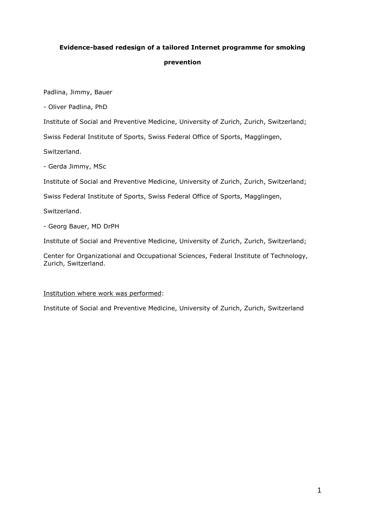# **Evidence-based redesign of a tailored Internet programme for smoking prevention**

Padlina, Jimmy, Bauer

- Oliver Padlina, PhD

Institute of Social and Preventive Medicine, University of Zurich, Zurich, Switzerland;

Swiss Federal Institute of Sports, Swiss Federal Office of Sports, Magglingen,

Switzerland.

- Gerda Jimmy, MSc

Institute of Social and Preventive Medicine, University of Zurich, Zurich, Switzerland;

Swiss Federal Institute of Sports, Swiss Federal Office of Sports, Magglingen,

Switzerland.

- Georg Bauer, MD DrPH

Institute of Social and Preventive Medicine, University of Zurich, Zurich, Switzerland;

Center for Organizational and Occupational Sciences, Federal Institute of Technology, Zurich, Switzerland.

# Institution where work was performed:

Institute of Social and Preventive Medicine, University of Zurich, Zurich, Switzerland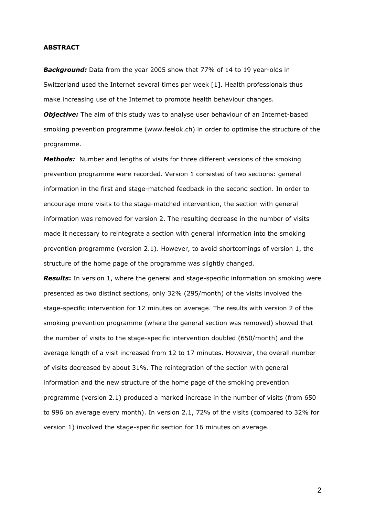## **ABSTRACT**

*Background:* Data from the year 2005 show that 77% of 14 to 19 year-olds in Switzerland used the Internet several times per week [1]. Health professionals thus make increasing use of the Internet to promote health behaviour changes.

**Objective:** The aim of this study was to analyse user behaviour of an Internet-based smoking prevention programme (www.feelok.ch) in order to optimise the structure of the programme.

*Methods:* Number and lengths of visits for three different versions of the smoking prevention programme were recorded. Version 1 consisted of two sections: general information in the first and stage-matched feedback in the second section. In order to encourage more visits to the stage-matched intervention, the section with general information was removed for version 2. The resulting decrease in the number of visits made it necessary to reintegrate a section with general information into the smoking prevention programme (version 2.1). However, to avoid shortcomings of version 1, the structure of the home page of the programme was slightly changed.

*Results***:** In version 1, where the general and stage-specific information on smoking were presented as two distinct sections, only 32% (295/month) of the visits involved the stage-specific intervention for 12 minutes on average. The results with version 2 of the smoking prevention programme (where the general section was removed) showed that the number of visits to the stage-specific intervention doubled (650/month) and the average length of a visit increased from 12 to 17 minutes. However, the overall number of visits decreased by about 31%. The reintegration of the section with general information and the new structure of the home page of the smoking prevention programme (version 2.1) produced a marked increase in the number of visits (from 650 to 996 on average every month). In version 2.1, 72% of the visits (compared to 32% for version 1) involved the stage-specific section for 16 minutes on average.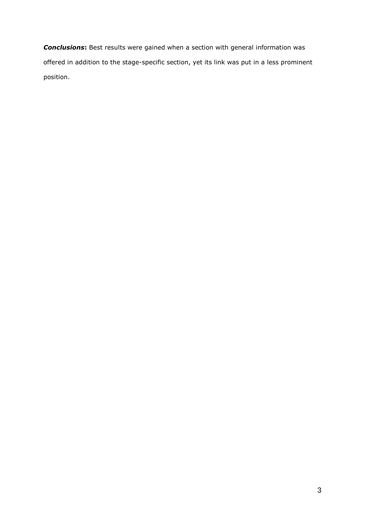*Conclusions***:** Best results were gained when a section with general information was offered in addition to the stage-specific section, yet its link was put in a less prominent position.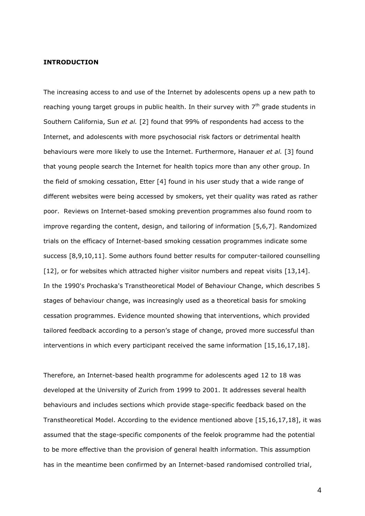## **INTRODUCTION**

The increasing access to and use of the Internet by adolescents opens up a new path to reaching young target groups in public health. In their survey with  $7<sup>th</sup>$  grade students in Southern California, Sun *et al.* [2] found that 99% of respondents had access to the Internet, and adolescents with more psychosocial risk factors or detrimental health behaviours were more likely to use the Internet. Furthermore, Hanauer *et al.* [3] found that young people search the Internet for health topics more than any other group. In the field of smoking cessation, Etter [4] found in his user study that a wide range of different websites were being accessed by smokers, yet their quality was rated as rather poor. Reviews on Internet-based smoking prevention programmes also found room to improve regarding the content, design, and tailoring of information [5,6,7]. Randomized trials on the efficacy of Internet-based smoking cessation programmes indicate some success [8,9,10,11]. Some authors found better results for computer-tailored counselling [12], or for websites which attracted higher visitor numbers and repeat visits [13,14]. In the 1990's Prochaska's Transtheoretical Model of Behaviour Change, which describes 5 stages of behaviour change, was increasingly used as a theoretical basis for smoking cessation programmes. Evidence mounted showing that interventions, which provided tailored feedback according to a person's stage of change, proved more successful than interventions in which every participant received the same information [15,16,17,18].

Therefore, an Internet-based health programme for adolescents aged 12 to 18 was developed at the University of Zurich from 1999 to 2001. It addresses several health behaviours and includes sections which provide stage-specific feedback based on the Transtheoretical Model. According to the evidence mentioned above [15,16,17,18], it was assumed that the stage-specific components of the feelok programme had the potential to be more effective than the provision of general health information. This assumption has in the meantime been confirmed by an Internet-based randomised controlled trial,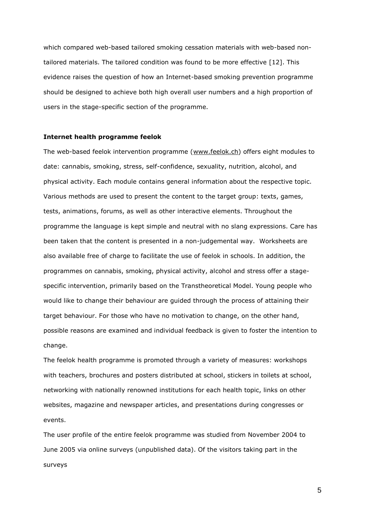which compared web-based tailored smoking cessation materials with web-based nontailored materials. The tailored condition was found to be more effective [12]. This evidence raises the question of how an Internet-based smoking prevention programme should be designed to achieve both high overall user numbers and a high proportion of users in the stage-specific section of the programme.

#### **Internet health programme feelok**

The web-based feelok intervention programme [\(www.feelok.ch\)](http://www.feelok.ch/) offers eight modules to date: cannabis, smoking, stress, self-confidence, sexuality, nutrition, alcohol, and physical activity. Each module contains general information about the respective topic. Various methods are used to present the content to the target group: texts, games, tests, animations, forums, as well as other interactive elements. Throughout the programme the language is kept simple and neutral with no slang expressions. Care has been taken that the content is presented in a non-judgemental way. Worksheets are also available free of charge to facilitate the use of feelok in schools. In addition, the programmes on cannabis, smoking, physical activity, alcohol and stress offer a stagespecific intervention, primarily based on the Transtheoretical Model. Young people who would like to change their behaviour are guided through the process of attaining their target behaviour. For those who have no motivation to change, on the other hand, possible reasons are examined and individual feedback is given to foster the intention to change.

The feelok health programme is promoted through a variety of measures: workshops with teachers, brochures and posters distributed at school, stickers in toilets at school, networking with nationally renowned institutions for each health topic, links on other websites, magazine and newspaper articles, and presentations during congresses or events.

The user profile of the entire feelok programme was studied from November 2004 to June 2005 via online surveys (unpublished data). Of the visitors taking part in the surveys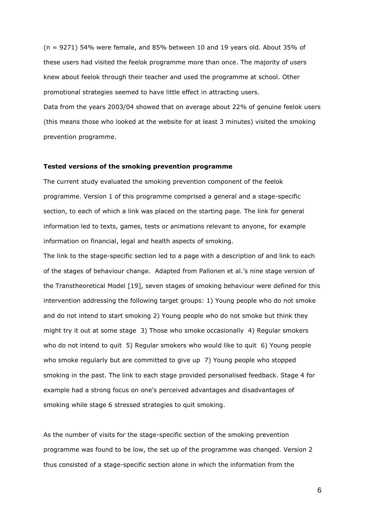(n = 9271) 54% were female, and 85% between 10 and 19 years old. About 35% of these users had visited the feelok programme more than once. The majority of users knew about feelok through their teacher and used the programme at school. Other promotional strategies seemed to have little effect in attracting users.

Data from the years 2003/04 showed that on average about 22% of genuine feelok users (this means those who looked at the website for at least 3 minutes) visited the smoking prevention programme.

## **Tested versions of the smoking prevention programme**

The current study evaluated the smoking prevention component of the feelok programme. Version 1 of this programme comprised a general and a stage-specific section, to each of which a link was placed on the starting page. The link for general information led to texts, games, tests or animations relevant to anyone, for example information on financial, legal and health aspects of smoking.

The link to the stage-specific section led to a page with a description of and link to each of the stages of behaviour change. Adapted from Pallonen et al.'s nine stage version of the Transtheoretical Model [19], seven stages of smoking behaviour were defined for this intervention addressing the following target groups: 1) Young people who do not smoke and do not intend to start smoking 2) Young people who do not smoke but think they might try it out at some stage 3) Those who smoke occasionally 4) Regular smokers who do not intend to quit 5) Regular smokers who would like to quit 6) Young people who smoke regularly but are committed to give up 7) Young people who stopped smoking in the past. The link to each stage provided personalised feedback. Stage 4 for example had a strong focus on one's perceived advantages and disadvantages of smoking while stage 6 stressed strategies to quit smoking.

As the number of visits for the stage-specific section of the smoking prevention programme was found to be low, the set up of the programme was changed. Version 2 thus consisted of a stage-specific section alone in which the information from the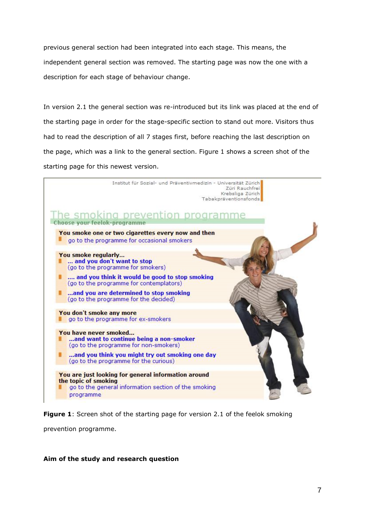previous general section had been integrated into each stage. This means, the independent general section was removed. The starting page was now the one with a description for each stage of behaviour change.

In version 2.1 the general section was re-introduced but its link was placed at the end of the starting page in order for the stage-specific section to stand out more. Visitors thus had to read the description of all 7 stages first, before reaching the last description on the page, which was a link to the general section. Figure 1 shows a screen shot of the starting page for this newest version.



**Figure 1**: Screen shot of the starting page for version 2.1 of the feelok smoking

prevention programme.

# **Aim of the study and research question**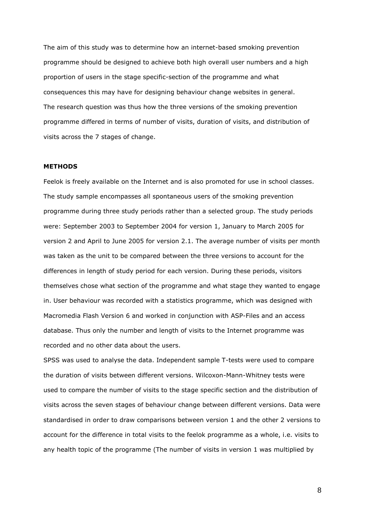The aim of this study was to determine how an internet-based smoking prevention programme should be designed to achieve both high overall user numbers and a high proportion of users in the stage specific-section of the programme and what consequences this may have for designing behaviour change websites in general. The research question was thus how the three versions of the smoking prevention programme differed in terms of number of visits, duration of visits, and distribution of visits across the 7 stages of change.

## **METHODS**

Feelok is freely available on the Internet and is also promoted for use in school classes. The study sample encompasses all spontaneous users of the smoking prevention programme during three study periods rather than a selected group. The study periods were: September 2003 to September 2004 for version 1, January to March 2005 for version 2 and April to June 2005 for version 2.1. The average number of visits per month was taken as the unit to be compared between the three versions to account for the differences in length of study period for each version. During these periods, visitors themselves chose what section of the programme and what stage they wanted to engage in. User behaviour was recorded with a statistics programme, which was designed with Macromedia Flash Version 6 and worked in conjunction with ASP-Files and an access database. Thus only the number and length of visits to the Internet programme was recorded and no other data about the users.

SPSS was used to analyse the data. Independent sample T-tests were used to compare the duration of visits between different versions. Wilcoxon-Mann-Whitney tests were used to compare the number of visits to the stage specific section and the distribution of visits across the seven stages of behaviour change between different versions. Data were standardised in order to draw comparisons between version 1 and the other 2 versions to account for the difference in total visits to the feelok programme as a whole, i.e. visits to any health topic of the programme (The number of visits in version 1 was multiplied by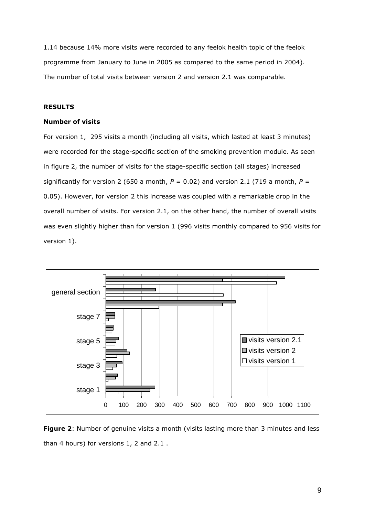1.14 because 14% more visits were recorded to any feelok health topic of the feelok programme from January to June in 2005 as compared to the same period in 2004). The number of total visits between version 2 and version 2.1 was comparable.

# **RESULTS**

### **Number of visits**

For version 1, 295 visits a month (including all visits, which lasted at least 3 minutes) were recorded for the stage-specific section of the smoking prevention module. As seen in figure 2, the number of visits for the stage-specific section (all stages) increased significantly for version 2 (650 a month,  $P = 0.02$ ) and version 2.1 (719 a month,  $P =$ 0.05). However, for version 2 this increase was coupled with a remarkable drop in the overall number of visits. For version 2.1, on the other hand, the number of overall visits was even slightly higher than for version 1 (996 visits monthly compared to 956 visits for version 1).



**Figure 2**: Number of genuine visits a month (visits lasting more than 3 minutes and less than 4 hours) for versions 1, 2 and 2.1 .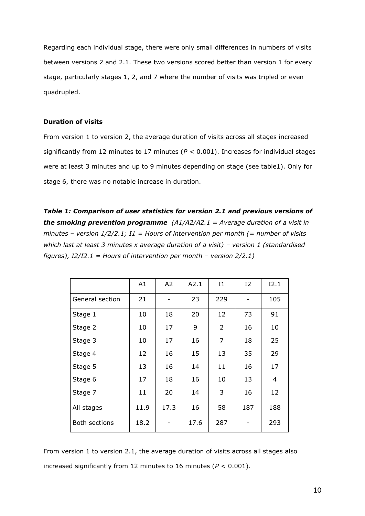Regarding each individual stage, there were only small differences in numbers of visits between versions 2 and 2.1. These two versions scored better than version 1 for every stage, particularly stages 1, 2, and 7 where the number of visits was tripled or even quadrupled.

# **Duration of visits**

From version 1 to version 2, the average duration of visits across all stages increased significantly from 12 minutes to 17 minutes (*P* < 0.001). Increases for individual stages were at least 3 minutes and up to 9 minutes depending on stage (see table1). Only for stage 6, there was no notable increase in duration.

*Table 1: Comparison of user statistics for version 2.1 and previous versions of the smoking prevention programme (A1/A2/A2.1 = Average duration of a visit in minutes – version 1/2/2.1; I1 = Hours of intervention per month (= number of visits which last at least 3 minutes x average duration of a visit) – version 1 (standardised figures), I2/I2.1 = Hours of intervention per month – version 2/2.1)*

|                      | A1   | A2   | A2.1 | I1             | $12 \overline{ }$ | I2.1 |
|----------------------|------|------|------|----------------|-------------------|------|
| General section      | 21   |      | 23   | 229            |                   | 105  |
| Stage 1              | 10   | 18   | 20   | 12             | 73                | 91   |
| Stage 2              | 10   | 17   | 9    | $\overline{2}$ | 16                | 10   |
| Stage 3              | 10   | 17   | 16   | 7              | 18                | 25   |
| Stage 4              | 12   | 16   | 15   | 13             | 35                | 29   |
| Stage 5              | 13   | 16   | 14   | 11             | 16                | 17   |
| Stage 6              | 17   | 18   | 16   | 10             | 13                | 4    |
| Stage 7              | 11   | 20   | 14   | 3              | 16                | 12   |
| All stages           | 11.9 | 17.3 | 16   | 58             | 187               | 188  |
| <b>Both sections</b> | 18.2 |      | 17.6 | 287            |                   | 293  |

From version 1 to version 2.1, the average duration of visits across all stages also increased significantly from 12 minutes to 16 minutes (*P* < 0.001).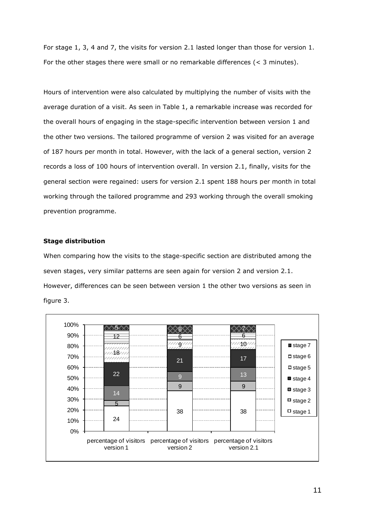For stage 1, 3, 4 and 7, the visits for version 2.1 lasted longer than those for version 1. For the other stages there were small or no remarkable differences (< 3 minutes).

Hours of intervention were also calculated by multiplying the number of visits with the average duration of a visit. As seen in Table 1, a remarkable increase was recorded for the overall hours of engaging in the stage-specific intervention between version 1 and the other two versions. The tailored programme of version 2 was visited for an average of 187 hours per month in total. However, with the lack of a general section, version 2 records a loss of 100 hours of intervention overall. In version 2.1, finally, visits for the general section were regained: users for version 2.1 spent 188 hours per month in total working through the tailored programme and 293 working through the overall smoking prevention programme.

# **Stage distribution**

When comparing how the visits to the stage-specific section are distributed among the seven stages, very similar patterns are seen again for version 2 and version 2.1. However, differences can be seen between version 1 the other two versions as seen in figure 3.

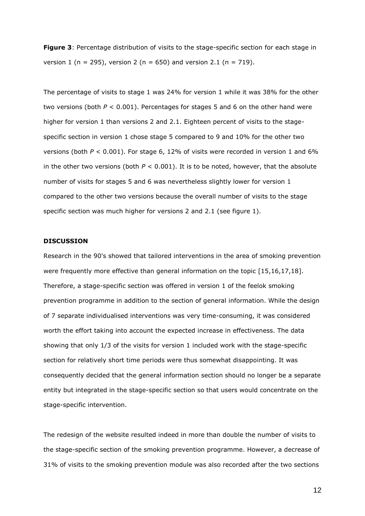**Figure 3**: Percentage distribution of visits to the stage-specific section for each stage in version 1 (n = 295), version 2 (n = 650) and version 2.1 (n = 719).

The percentage of visits to stage 1 was 24% for version 1 while it was 38% for the other two versions (both *P* < 0.001). Percentages for stages 5 and 6 on the other hand were higher for version 1 than versions 2 and 2.1. Eighteen percent of visits to the stagespecific section in version 1 chose stage 5 compared to 9 and 10% for the other two versions (both *P* < 0.001). For stage 6, 12% of visits were recorded in version 1 and 6% in the other two versions (both  $P < 0.001$ ). It is to be noted, however, that the absolute number of visits for stages 5 and 6 was nevertheless slightly lower for version 1 compared to the other two versions because the overall number of visits to the stage specific section was much higher for versions 2 and 2.1 (see figure 1).

## **DISCUSSION**

Research in the 90's showed that tailored interventions in the area of smoking prevention were frequently more effective than general information on the topic [15,16,17,18]. Therefore, a stage-specific section was offered in version 1 of the feelok smoking prevention programme in addition to the section of general information. While the design of 7 separate individualised interventions was very time-consuming, it was considered worth the effort taking into account the expected increase in effectiveness. The data showing that only 1/3 of the visits for version 1 included work with the stage-specific section for relatively short time periods were thus somewhat disappointing. It was consequently decided that the general information section should no longer be a separate entity but integrated in the stage-specific section so that users would concentrate on the stage-specific intervention.

The redesign of the website resulted indeed in more than double the number of visits to the stage-specific section of the smoking prevention programme. However, a decrease of 31% of visits to the smoking prevention module was also recorded after the two sections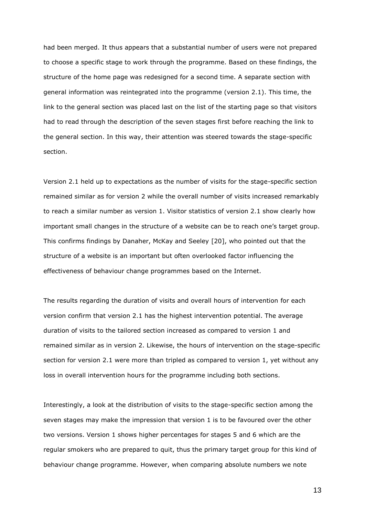had been merged. It thus appears that a substantial number of users were not prepared to choose a specific stage to work through the programme. Based on these findings, the structure of the home page was redesigned for a second time. A separate section with general information was reintegrated into the programme (version 2.1). This time, the link to the general section was placed last on the list of the starting page so that visitors had to read through the description of the seven stages first before reaching the link to the general section. In this way, their attention was steered towards the stage-specific section.

Version 2.1 held up to expectations as the number of visits for the stage-specific section remained similar as for version 2 while the overall number of visits increased remarkably to reach a similar number as version 1. Visitor statistics of version 2.1 show clearly how important small changes in the structure of a website can be to reach one's target group. This confirms findings by Danaher, McKay and Seeley [20], who pointed out that the structure of a website is an important but often overlooked factor influencing the effectiveness of behaviour change programmes based on the Internet.

The results regarding the duration of visits and overall hours of intervention for each version confirm that version 2.1 has the highest intervention potential. The average duration of visits to the tailored section increased as compared to version 1 and remained similar as in version 2. Likewise, the hours of intervention on the stage-specific section for version 2.1 were more than tripled as compared to version 1, yet without any loss in overall intervention hours for the programme including both sections.

Interestingly, a look at the distribution of visits to the stage-specific section among the seven stages may make the impression that version 1 is to be favoured over the other two versions. Version 1 shows higher percentages for stages 5 and 6 which are the regular smokers who are prepared to quit, thus the primary target group for this kind of behaviour change programme. However, when comparing absolute numbers we note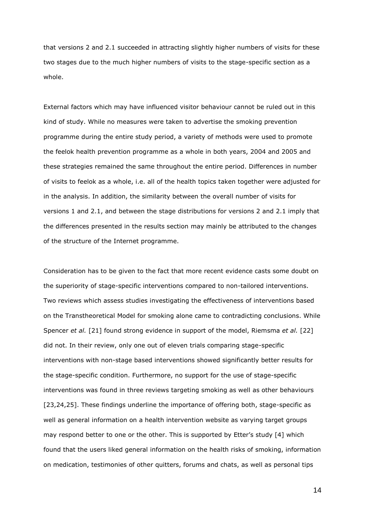that versions 2 and 2.1 succeeded in attracting slightly higher numbers of visits for these two stages due to the much higher numbers of visits to the stage-specific section as a whole.

External factors which may have influenced visitor behaviour cannot be ruled out in this kind of study. While no measures were taken to advertise the smoking prevention programme during the entire study period, a variety of methods were used to promote the feelok health prevention programme as a whole in both years, 2004 and 2005 and these strategies remained the same throughout the entire period. Differences in number of visits to feelok as a whole, i.e. all of the health topics taken together were adjusted for in the analysis. In addition, the similarity between the overall number of visits for versions 1 and 2.1, and between the stage distributions for versions 2 and 2.1 imply that the differences presented in the results section may mainly be attributed to the changes of the structure of the Internet programme.

Consideration has to be given to the fact that more recent evidence casts some doubt on the superiority of stage-specific interventions compared to non-tailored interventions. Two reviews which assess studies investigating the effectiveness of interventions based on the Transtheoretical Model for smoking alone came to contradicting conclusions. While Spencer *et al.* [21] found strong evidence in support of the model, Riemsma *et al.* [22] did not. In their review, only one out of eleven trials comparing stage-specific interventions with non-stage based interventions showed significantly better results for the stage-specific condition. Furthermore, no support for the use of stage-specific interventions was found in three reviews targeting smoking as well as other behaviours [23,24,25]. These findings underline the importance of offering both, stage-specific as well as general information on a health intervention website as varying target groups may respond better to one or the other. This is supported by Etter's study [4] which found that the users liked general information on the health risks of smoking, information on medication, testimonies of other quitters, forums and chats, as well as personal tips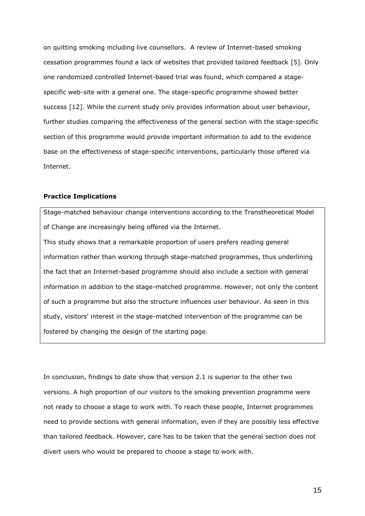on quitting smoking including live counsellors. A review of Internet-based smoking cessation programmes found a lack of websites that provided tailored feedback [5]. Only one randomized controlled Internet-based trial was found, which compared a stagespecific web-site with a general one. The stage-specific programme showed better success [12]. While the current study only provides information about user behaviour, further studies comparing the effectiveness of the general section with the stage-specific section of this programme would provide important information to add to the evidence base on the effectiveness of stage-specific interventions, particularly those offered via Internet.

## **Practice Implications**

Stage-matched behaviour change interventions according to the Transtheoretical Model of Change are increasingly being offered via the Internet.

This study shows that a remarkable proportion of users prefers reading general information rather than working through stage-matched programmes, thus underlining the fact that an Internet-based programme should also include a section with general information in addition to the stage-matched programme. However, not only the content of such a programme but also the structure influences user behaviour. As seen in this study, visitors' interest in the stage-matched intervention of the programme can be fostered by changing the design of the starting page.

In conclusion, findings to date show that version 2.1 is superior to the other two versions. A high proportion of our visitors to the smoking prevention programme were not ready to choose a stage to work with. To reach these people, Internet programmes need to provide sections with general information, even if they are possibly less effective than tailored feedback. However, care has to be taken that the general section does not divert users who would be prepared to choose a stage to work with.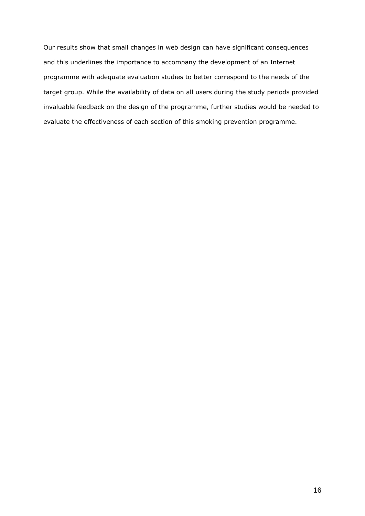Our results show that small changes in web design can have significant consequences and this underlines the importance to accompany the development of an Internet programme with adequate evaluation studies to better correspond to the needs of the target group. While the availability of data on all users during the study periods provided invaluable feedback on the design of the programme, further studies would be needed to evaluate the effectiveness of each section of this smoking prevention programme.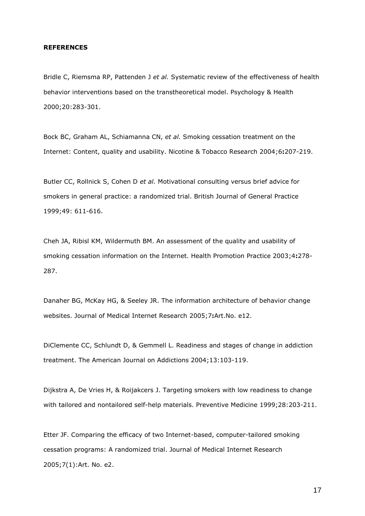## **REFERENCES**

Bridle C, Riemsma RP, Pattenden J *et al.* Systematic review of the effectiveness of health behavior interventions based on the transtheoretical model. Psychology & Health 2000;20:283-301.

Bock BC, Graham AL, Schiamanna CN, *et al.* Smoking cessation treatment on the Internet: Content, quality and usability. Nicotine & Tobacco Research 2004;6**:**207-219.

Butler CC, Rollnick S, Cohen D *et al.* Motivational consulting versus brief advice for smokers in general practice: a randomized trial. British Journal of General Practice 1999;49: 611-616.

Cheh JA, Ribisl KM, Wildermuth BM. An assessment of the quality and usability of smoking cessation information on the Internet. Health Promotion Practice 2003;4**:**278- 287.

Danaher BG, McKay HG, & Seeley JR. The information architecture of behavior change websites. Journal of Medical Internet Research 2005;7**:**Art.No. e12.

DiClemente CC, Schlundt D, & Gemmell L. Readiness and stages of change in addiction treatment. The American Journal on Addictions 2004;13:103-119.

Dijkstra A, De Vries H, & Roijakcers J. Targeting smokers with low readiness to change with tailored and nontailored self-help materials. Preventive Medicine 1999;28:203-211.

Etter JF. Comparing the efficacy of two Internet-based, computer-tailored smoking cessation programs: A randomized trial. Journal of Medical Internet Research 2005;7(1):Art. No. e2.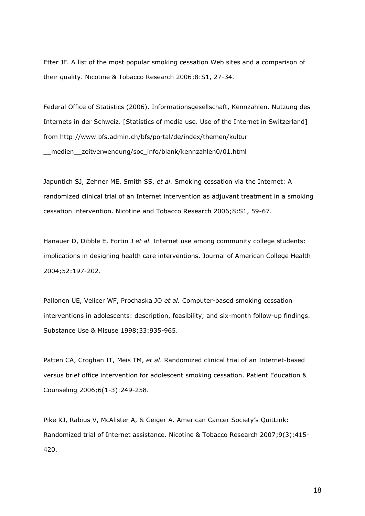Etter JF. A list of the most popular smoking cessation Web sites and a comparison of their quality. Nicotine & Tobacco Research 2006;8:S1, 27-34.

Federal Office of Statistics (2006). Informationsgesellschaft, Kennzahlen. Nutzung des Internets in der Schweiz. [Statistics of media use. Use of the Internet in Switzerland] from http://www.bfs.admin.ch/bfs/portal/de/index/themen/kultur \_\_medien\_\_zeitverwendung/soc\_info/blank/kennzahlen0/01.html

Japuntich SJ, Zehner ME, Smith SS, *et al.* Smoking cessation via the Internet: A randomized clinical trial of an Internet intervention as adjuvant treatment in a smoking cessation intervention. Nicotine and Tobacco Research 2006;8:S1, 59-67.

Hanauer D, Dibble E, Fortin J *et al.* Internet use among community college students: implications in designing health care interventions. Journal of American College Health 2004;52:197-202.

Pallonen UE, Velicer WF, Prochaska JO *et al.* Computer-based smoking cessation interventions in adolescents: description, feasibility, and six-month follow-up findings. Substance Use & Misuse 1998;33:935-965.

[Patten CA,](http://apps.isiknowledge.com/WoS/CIW.cgi?SID=X2oklCcEbFo8j4DiF29&Func=OneClickSearch&field=AU&val=Patten+CA&ut=000243012600031&auloc=1&fullauth=%20%28Patten,%20Christi%20A.%29&curr_doc=1/17&Form=FullRecordPage&doc=1/17) [Croghan IT,](http://apps.isiknowledge.com/WoS/CIW.cgi?SID=X2oklCcEbFo8j4DiF29&Func=OneClickSearch&field=AU&val=Croghan+IT&ut=000243012600031&auloc=2&fullauth=%20%28Croghan,%20Ivana%20T.%29&curr_doc=1/17&Form=FullRecordPage&doc=1/17) [Meis TM,](http://apps.isiknowledge.com/WoS/CIW.cgi?SID=X2oklCcEbFo8j4DiF29&Func=OneClickSearch&field=AU&val=Meis+TM&ut=000243012600031&auloc=3&fullauth=%20%28Meis,%20Tracy%20M.%29&curr_doc=1/17&Form=FullRecordPage&doc=1/17) *et al*. Randomized clinical trial of an Internet-based versus brief office intervention for adolescent smoking cessation. Patient Education & Counseling 2006;6(1-3):249-258.

Pike KJ, Rabius V, McAlister A, & Geiger A. American Cancer Society's QuitLink: Randomized trial of Internet assistance. Nicotine & Tobacco Research 2007;9(3):415- 420.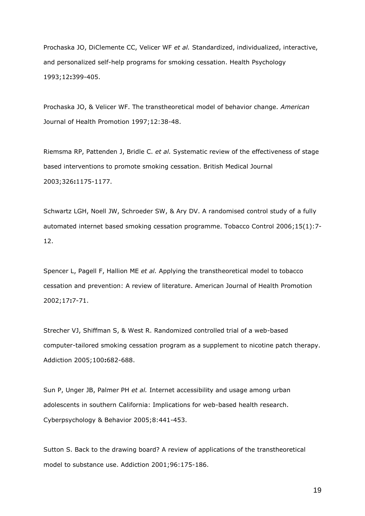Prochaska JO, DiClemente CC, Velicer WF *et al.* Standardized, individualized, interactive, and personalized self-help programs for smoking cessation. Health Psychology 1993;12**:**399-405.

Prochaska JO, & Velicer WF. The transtheoretical model of behavior change. *American*  Journal of Health Promotion 1997;12:38-48.

Riemsma RP, Pattenden J, Bridle C. *et al.* Systematic review of the effectiveness of stage based interventions to promote smoking cessation. British Medical Journal 2003;326**:**1175-1177.

Schwartz LGH, Noell JW, Schroeder SW, & Ary DV. A randomised control study of a fully automated internet based smoking cessation programme. Tobacco Control 2006;15(1):7- 12.

Spencer L, Pagell F, Hallion ME *et al.* Applying the transtheoretical model to tobacco cessation and prevention: A review of literature. American Journal of Health Promotion 2002;17**:**7-71.

Strecher VJ, Shiffman S, & West R. Randomized controlled trial of a web-based computer-tailored smoking cessation program as a supplement to nicotine patch therapy. Addiction 2005;100**:**682-688.

Sun P, Unger JB, Palmer PH *et al.* Internet accessibility and usage among urban adolescents in southern California: Implications for web-based health research. Cyberpsychology & Behavior 2005;8:441-453.

Sutton S. Back to the drawing board? A review of applications of the transtheoretical model to substance use. Addiction 2001;96:175-186.